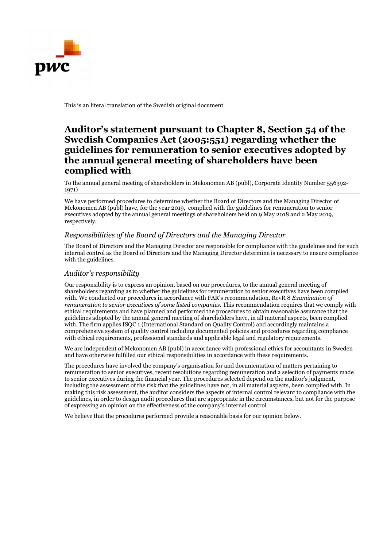

This is an literal translation of the Swedish original document

## Auditor's statement pursuant to Chapter 8, Section 54 of the Swedish Companies Act (2005:551) regarding whether the guidelines for remuneration to senior executives adopted by the annual general meeting of shareholders have been complied with

To the annual general meeting of shareholders in Mekonomen AB (publ), Corporate Identity Number 556392- 1971)

We have performed procedures to determine whether the Board of Directors and the Managing Director of Mekonomen AB (publ) have, for the year 2019, complied with the guidelines for remuneration to senior executives adopted by the annual general meetings of shareholders held on 9 May 2018 and 2 May 2019, respectively.

## Responsibilities of the Board of Directors and the Managing Director

The Board of Directors and the Managing Director are responsible for compliance with the guidelines and for such internal control as the Board of Directors and the Managing Director determine is necessary to ensure compliance with the guidelines.

## Auditor's responsibility

Our responsibility is to express an opinion, based on our procedures, to the annual general meeting of shareholders regarding as to whether the guidelines for remuneration to senior executives have been complied with. We conducted our procedures in accordance with FAR's recommendation, RevR 8 Examination of remuneration to senior executives of some listed companies. This recommendation requires that we comply with ethical requirements and have planned and performed the procedures to obtain reasonable assurance that the guidelines adopted by the annual general meeting of shareholders have, in all material aspects, been complied with. The firm applies ISQC 1 (International Standard on Quality Control) and accordingly maintains a comprehensive system of quality control including documented policies and procedures regarding compliance with ethical requirements, professional standards and applicable legal and regulatory requirements.

We are independent of Mekonomen AB (publ) in accordance with professional ethics for accountants in Sweden and have otherwise fulfilled our ethical responsibilities in accordance with these requirements.

The procedures have involved the company's organisation for and documentation of matters pertaining to remuneration to senior executives, recent resolutions regarding remuneration and a selection of payments made to senior executives during the financial year. The procedures selected depend on the auditor's judgment, including the assessment of the risk that the guidelines have not, in all material aspects, been complied with. In making this risk assessment, the auditor considers the aspects of internal control relevant to compliance with the guidelines, in order to design audit procedures that are appropriate in the circumstances, but not for the purpose of expressing an opinion on the effectiveness of the company's internal control

We believe that the procedures performed provide a reasonable basis for our opinion below.